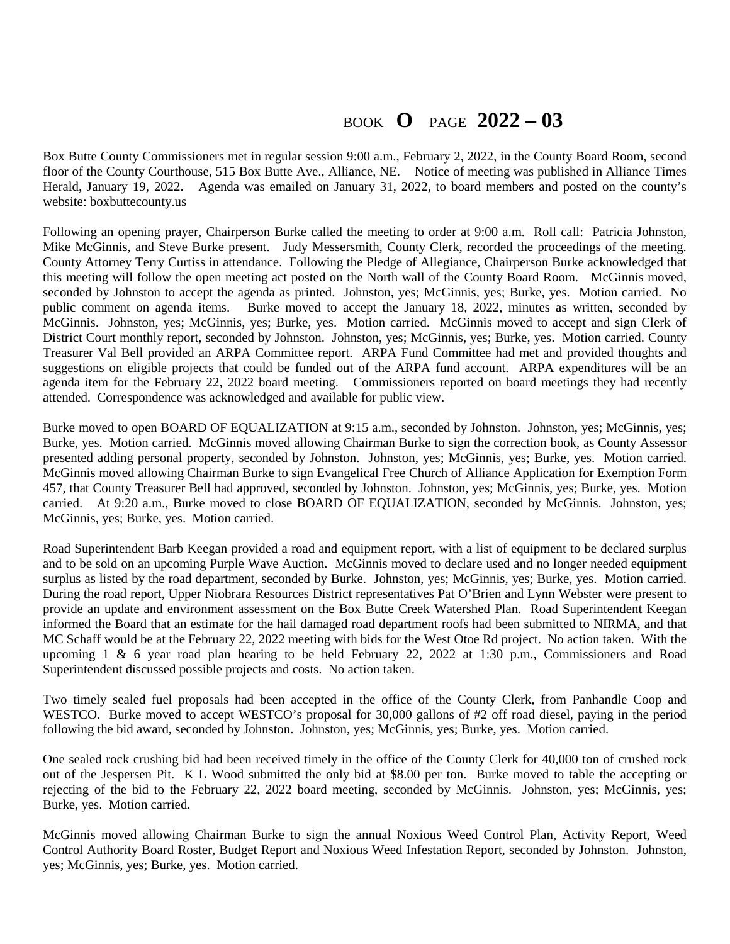## BOOK **O** PAGE **2022 – 03**

Box Butte County Commissioners met in regular session 9:00 a.m., February 2, 2022, in the County Board Room, second floor of the County Courthouse, 515 Box Butte Ave., Alliance, NE. Notice of meeting was published in Alliance Times Herald, January 19, 2022. Agenda was emailed on January 31, 2022, to board members and posted on the county's website: boxbuttecounty.us

Following an opening prayer, Chairperson Burke called the meeting to order at 9:00 a.m. Roll call: Patricia Johnston, Mike McGinnis, and Steve Burke present. Judy Messersmith, County Clerk, recorded the proceedings of the meeting. County Attorney Terry Curtiss in attendance. Following the Pledge of Allegiance, Chairperson Burke acknowledged that this meeting will follow the open meeting act posted on the North wall of the County Board Room. McGinnis moved, seconded by Johnston to accept the agenda as printed. Johnston, yes; McGinnis, yes; Burke, yes. Motion carried. No public comment on agenda items. Burke moved to accept the January 18, 2022, minutes as written, seconded by Burke moved to accept the January 18, 2022, minutes as written, seconded by McGinnis. Johnston, yes; McGinnis, yes; Burke, yes. Motion carried. McGinnis moved to accept and sign Clerk of District Court monthly report, seconded by Johnston. Johnston, yes; McGinnis, yes; Burke, yes. Motion carried. County Treasurer Val Bell provided an ARPA Committee report. ARPA Fund Committee had met and provided thoughts and suggestions on eligible projects that could be funded out of the ARPA fund account. ARPA expenditures will be an agenda item for the February 22, 2022 board meeting. Commissioners reported on board meetings they had recently attended. Correspondence was acknowledged and available for public view.

Burke moved to open BOARD OF EQUALIZATION at 9:15 a.m., seconded by Johnston. Johnston, yes; McGinnis, yes; Burke, yes. Motion carried. McGinnis moved allowing Chairman Burke to sign the correction book, as County Assessor presented adding personal property, seconded by Johnston. Johnston, yes; McGinnis, yes; Burke, yes. Motion carried. McGinnis moved allowing Chairman Burke to sign Evangelical Free Church of Alliance Application for Exemption Form 457, that County Treasurer Bell had approved, seconded by Johnston. Johnston, yes; McGinnis, yes; Burke, yes. Motion carried. At 9:20 a.m., Burke moved to close BOARD OF EQUALIZATION, seconded by McGinnis. Johnston, yes; McGinnis, yes; Burke, yes. Motion carried.

Road Superintendent Barb Keegan provided a road and equipment report, with a list of equipment to be declared surplus and to be sold on an upcoming Purple Wave Auction. McGinnis moved to declare used and no longer needed equipment surplus as listed by the road department, seconded by Burke. Johnston, yes; McGinnis, yes; Burke, yes. Motion carried. During the road report, Upper Niobrara Resources District representatives Pat O'Brien and Lynn Webster were present to provide an update and environment assessment on the Box Butte Creek Watershed Plan. Road Superintendent Keegan informed the Board that an estimate for the hail damaged road department roofs had been submitted to NIRMA, and that MC Schaff would be at the February 22, 2022 meeting with bids for the West Otoe Rd project. No action taken. With the upcoming 1 & 6 year road plan hearing to be held February 22, 2022 at 1:30 p.m., Commissioners and Road Superintendent discussed possible projects and costs. No action taken.

Two timely sealed fuel proposals had been accepted in the office of the County Clerk, from Panhandle Coop and WESTCO. Burke moved to accept WESTCO's proposal for 30,000 gallons of #2 off road diesel, paying in the period following the bid award, seconded by Johnston. Johnston, yes; McGinnis, yes; Burke, yes. Motion carried.

One sealed rock crushing bid had been received timely in the office of the County Clerk for 40,000 ton of crushed rock out of the Jespersen Pit. K L Wood submitted the only bid at \$8.00 per ton. Burke moved to table the accepting or rejecting of the bid to the February 22, 2022 board meeting, seconded by McGinnis. Johnston, yes; McGinnis, yes; Burke, yes. Motion carried.

McGinnis moved allowing Chairman Burke to sign the annual Noxious Weed Control Plan, Activity Report, Weed Control Authority Board Roster, Budget Report and Noxious Weed Infestation Report, seconded by Johnston. Johnston, yes; McGinnis, yes; Burke, yes. Motion carried.